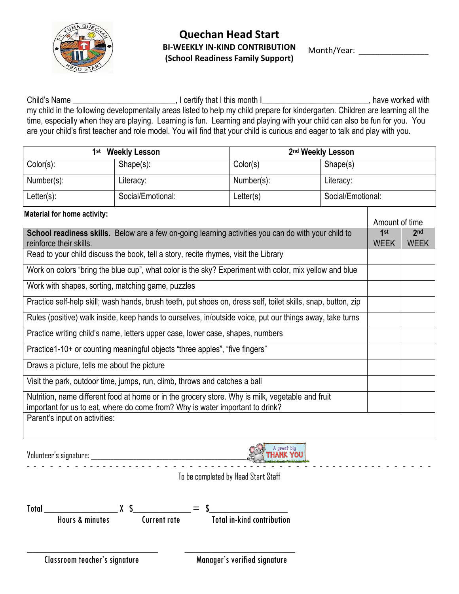

Month/Year:

Child's Name \_\_\_\_\_\_\_\_\_\_\_\_\_\_\_\_\_\_\_\_\_\_\_\_\_\_\_, I certify that I this month I\_\_\_\_\_\_\_\_\_\_\_\_\_\_\_\_\_\_\_\_\_\_\_\_\_\_\_, have worked with my child in the following developmentally areas listed to help my child prepare for kindergarten. Children are learning all the time, especially when they are playing. Learning is fun. Learning and playing with your child can also be fun for you. You are your child's first teacher and role model. You will find that your child is curious and eager to talk and play with you.

|                                                                                                                                                                                   | 1st Weekly Lesson                                                                                      |                                  | 2 <sup>nd</sup> Weekly Lesson |                    |                                |  |
|-----------------------------------------------------------------------------------------------------------------------------------------------------------------------------------|--------------------------------------------------------------------------------------------------------|----------------------------------|-------------------------------|--------------------|--------------------------------|--|
| Color(s):                                                                                                                                                                         | $Shape(s)$ :                                                                                           | Color(s)                         | Shape(s)                      |                    |                                |  |
| Number(s):                                                                                                                                                                        | Literacy:                                                                                              | Number(s):                       | Literacy:                     |                    |                                |  |
| $Letter(s)$ :                                                                                                                                                                     | Social/Emotional:                                                                                      | Letter(s)                        |                               | Social/Emotional:  |                                |  |
| <b>Material for home activity:</b>                                                                                                                                                |                                                                                                        |                                  |                               | Amount of time     |                                |  |
| reinforce their skills.                                                                                                                                                           | School readiness skills. Below are a few on-going learning activities you can do with your child to    |                                  |                               | 1st<br><b>WEEK</b> | 2 <sub>nd</sub><br><b>WEEK</b> |  |
|                                                                                                                                                                                   | Read to your child discuss the book, tell a story, recite rhymes, visit the Library                    |                                  |                               |                    |                                |  |
|                                                                                                                                                                                   | Work on colors "bring the blue cup", what color is the sky? Experiment with color, mix yellow and blue |                                  |                               |                    |                                |  |
| Work with shapes, sorting, matching game, puzzles                                                                                                                                 |                                                                                                        |                                  |                               |                    |                                |  |
| Practice self-help skill; wash hands, brush teeth, put shoes on, dress self, toilet skills, snap, button, zip                                                                     |                                                                                                        |                                  |                               |                    |                                |  |
| Rules (positive) walk inside, keep hands to ourselves, in/outside voice, put our things away, take turns                                                                          |                                                                                                        |                                  |                               |                    |                                |  |
| Practice writing child's name, letters upper case, lower case, shapes, numbers                                                                                                    |                                                                                                        |                                  |                               |                    |                                |  |
| Practice1-10+ or counting meaningful objects "three apples", "five fingers"                                                                                                       |                                                                                                        |                                  |                               |                    |                                |  |
| Draws a picture, tells me about the picture                                                                                                                                       |                                                                                                        |                                  |                               |                    |                                |  |
| Visit the park, outdoor time, jumps, run, climb, throws and catches a ball                                                                                                        |                                                                                                        |                                  |                               |                    |                                |  |
| Nutrition, name different food at home or in the grocery store. Why is milk, vegetable and fruit<br>important for us to eat, where do come from? Why is water important to drink? |                                                                                                        |                                  |                               |                    |                                |  |
| Parent's input on activities:                                                                                                                                                     |                                                                                                        |                                  |                               |                    |                                |  |
| $\mathbf{v}$ $\mathbf{v}$ $\mathbf{v}$ $\mathbf{v}$                                                                                                                               |                                                                                                        | A great big<br>$Q_{\varepsilon}$ |                               |                    |                                |  |

Volunteer's signature: \_\_\_\_\_\_\_\_\_\_\_\_\_\_\_\_\_\_\_\_\_\_\_\_\_\_\_\_\_\_\_\_\_\_\_\_\_\_\_\_\_\_\_\_\_\_\_\_



To be completed by Head Start Staff

| <b>Total</b> |                            |              | $\equiv$ |                                   |
|--------------|----------------------------|--------------|----------|-----------------------------------|
|              | <b>Hours &amp; minutes</b> | Current rate |          | <b>Total in-kind contribution</b> |

 $\frac{1}{2}$  ,  $\frac{1}{2}$  ,  $\frac{1}{2}$  ,  $\frac{1}{2}$  ,  $\frac{1}{2}$  ,  $\frac{1}{2}$  ,  $\frac{1}{2}$  ,  $\frac{1}{2}$  ,  $\frac{1}{2}$  ,  $\frac{1}{2}$  ,  $\frac{1}{2}$  ,  $\frac{1}{2}$  ,  $\frac{1}{2}$  ,  $\frac{1}{2}$  ,  $\frac{1}{2}$  ,  $\frac{1}{2}$  ,  $\frac{1}{2}$  ,  $\frac{1}{2}$  ,  $\frac{1$